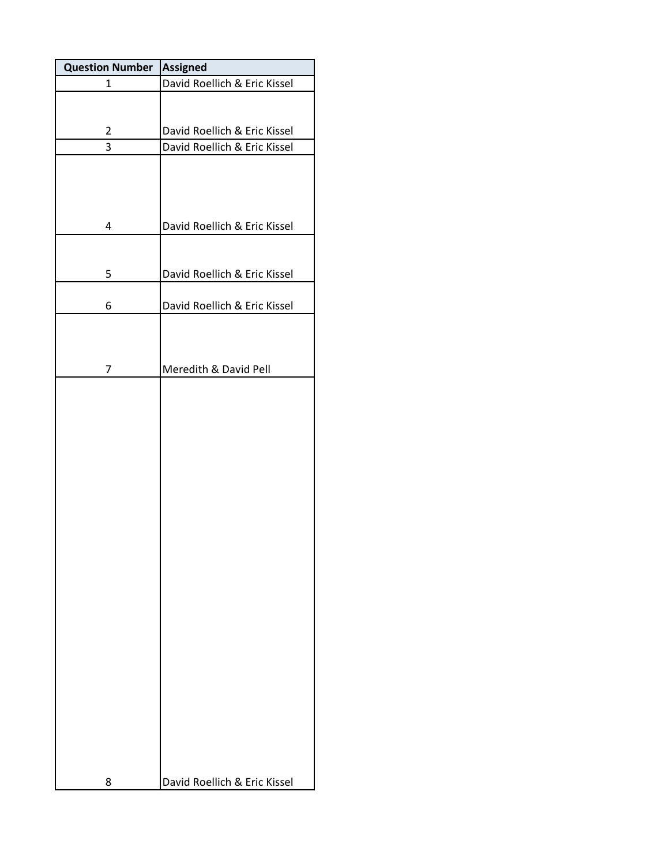| <b>Question Number</b> | <b>Assigned</b>              |
|------------------------|------------------------------|
| $\mathbf{1}$           | David Roellich & Eric Kissel |
|                        |                              |
| $\overline{2}$         | David Roellich & Eric Kissel |
| 3                      | David Roellich & Eric Kissel |
|                        |                              |
| 4                      | David Roellich & Eric Kissel |
| 5                      | David Roellich & Eric Kissel |
|                        |                              |
| 6                      | David Roellich & Eric Kissel |
| 7                      | Meredith & David Pell        |
|                        |                              |
| 8                      | David Roellich & Eric Kissel |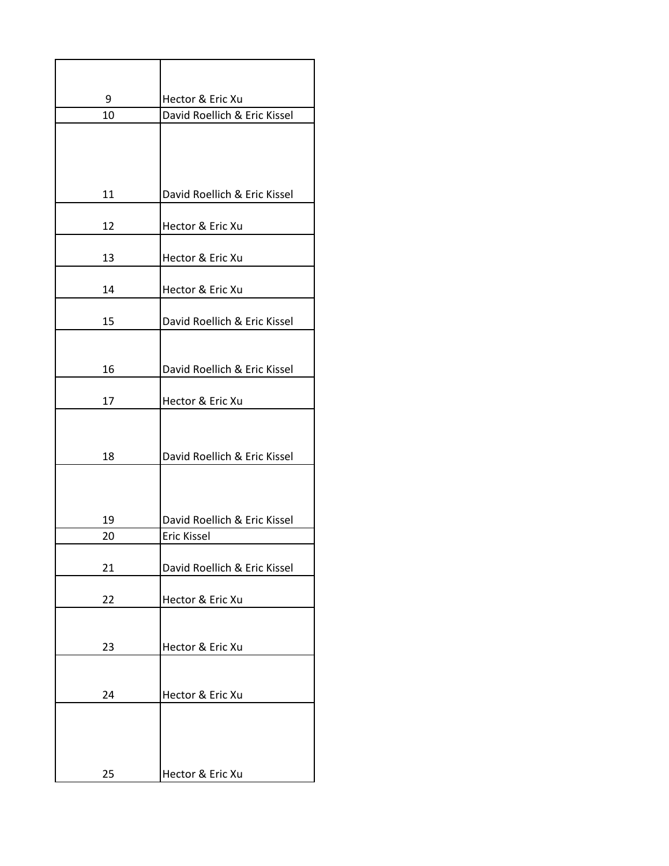| 9  | Hector & Eric Xu             |
|----|------------------------------|
| 10 | David Roellich & Eric Kissel |
|    |                              |
|    |                              |
|    |                              |
| 11 | David Roellich & Eric Kissel |
|    |                              |
| 12 | Hector & Eric Xu             |
|    |                              |
| 13 | Hector & Eric Xu             |
| 14 | Hector & Eric Xu             |
|    |                              |
| 15 | David Roellich & Eric Kissel |
|    |                              |
| 16 | David Roellich & Eric Kissel |
|    |                              |
| 17 | Hector & Eric Xu             |
|    |                              |
|    |                              |
| 18 | David Roellich & Eric Kissel |
|    |                              |
|    |                              |
| 19 | David Roellich & Eric Kissel |
| 20 | <b>Eric Kissel</b>           |
|    |                              |
| 21 | David Roellich & Eric Kissel |
|    |                              |
| 22 | Hector & Eric Xu             |
|    |                              |
| 23 | Hector & Eric Xu             |
|    |                              |
|    |                              |
| 24 | Hector & Eric Xu             |
|    |                              |
|    |                              |
|    |                              |
| 25 | Hector & Eric Xu             |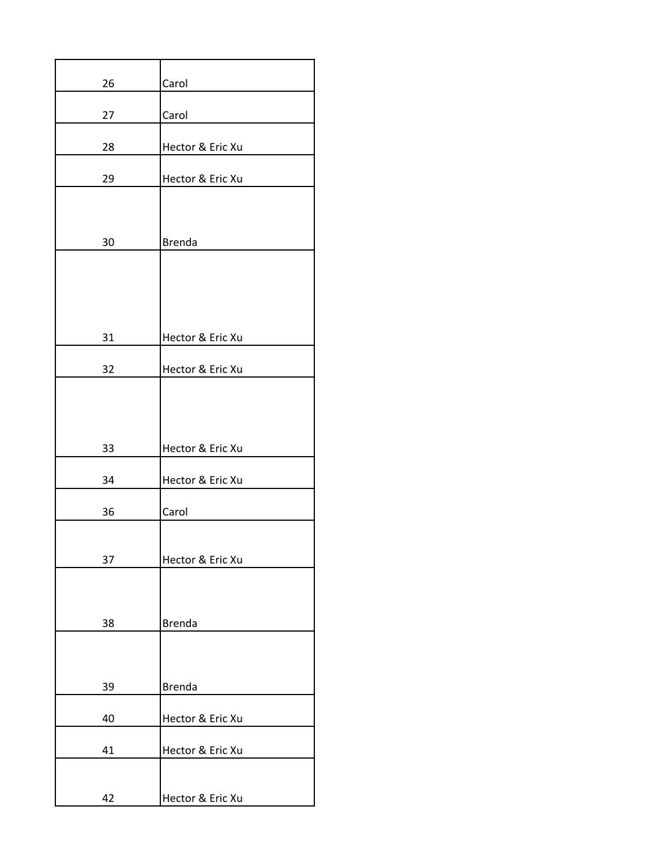| 26 | Carol            |
|----|------------------|
| 27 | Carol            |
| 28 | Hector & Eric Xu |
| 29 | Hector & Eric Xu |
|    |                  |
| 30 | <b>Brenda</b>    |
|    |                  |
|    |                  |
| 31 | Hector & Eric Xu |
|    |                  |
| 32 | Hector & Eric Xu |
|    |                  |
|    |                  |
| 33 | Hector & Eric Xu |
| 34 | Hector & Eric Xu |
| 36 | Carol            |
|    |                  |
| 37 | Hector & Eric Xu |
|    |                  |
| 38 | <b>Brenda</b>    |
|    |                  |
|    |                  |
| 39 | <b>Brenda</b>    |
| 40 | Hector & Eric Xu |
| 41 | Hector & Eric Xu |
|    |                  |
| 42 | Hector & Eric Xu |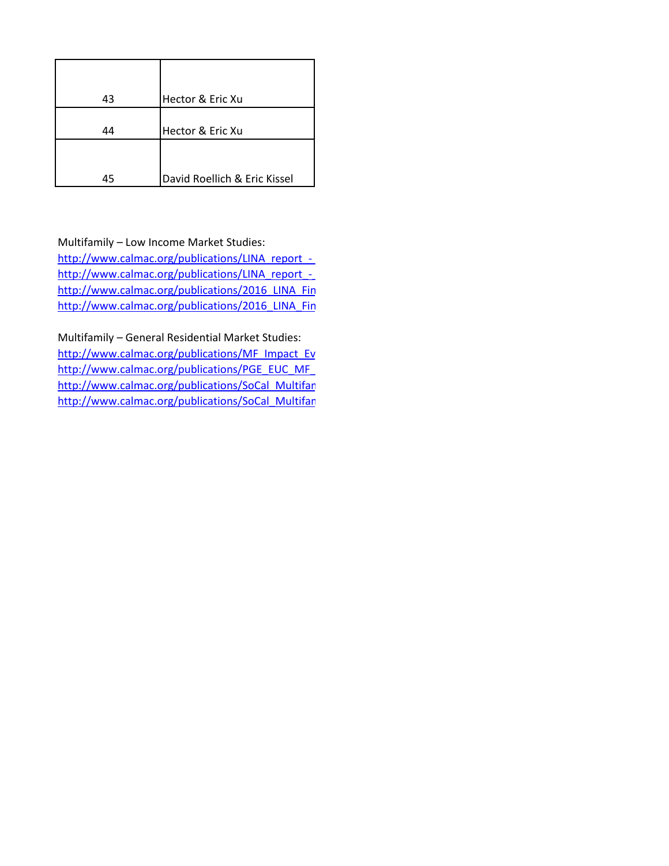| 43 | Hector & Eric Xu             |
|----|------------------------------|
|    |                              |
| 44 | Hector & Eric Xu             |
|    |                              |
|    |                              |
| 45 | David Roellich & Eric Kissel |

## Multifamily – Low Income Market Studies:

http://www.calmac.org/publications/LINA\_report\_-\_ http://www.calmac.org/publications/LINA\_report\_http://www.calmac.org/publications/2016\_LINA\_Fin http://www.calmac.org/publications/2016\_LINA\_Fin

Multifamily – General Residential Market Studies:

http://www.calmac.org/publications/MF\_Impact\_Ev http://www.calmac.org/publications/PGE\_EUC\_MF http://www.calmac.org/publications/SoCal\_Multifar http://www.calmac.org/publications/SoCal\_Multifar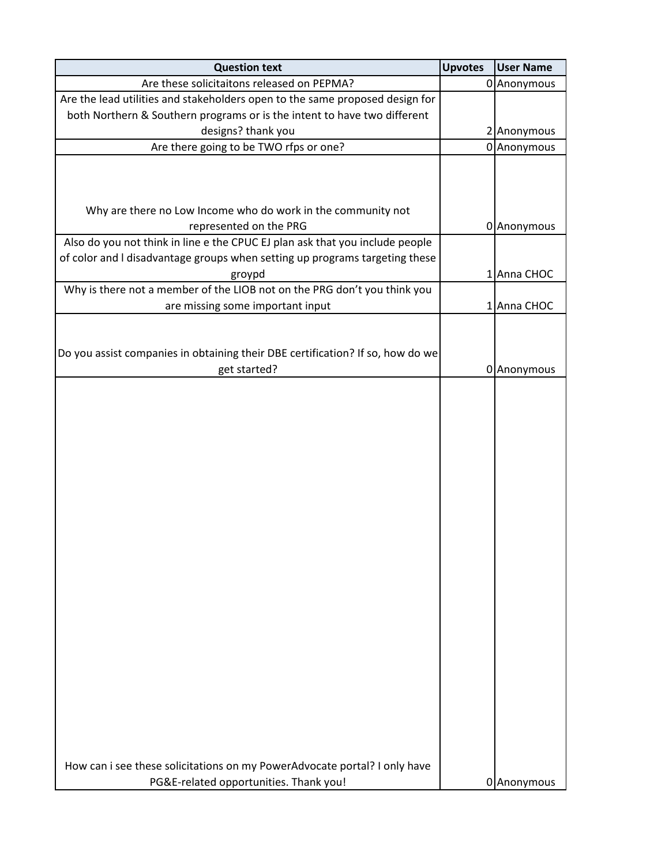| <b>Question text</b>                                                           | <b>Upvotes</b> | <b>User Name</b> |
|--------------------------------------------------------------------------------|----------------|------------------|
| Are these solicitaitons released on PEPMA?                                     |                | 0 Anonymous      |
| Are the lead utilities and stakeholders open to the same proposed design for   |                |                  |
| both Northern & Southern programs or is the intent to have two different       |                |                  |
| designs? thank you                                                             |                | 2 Anonymous      |
| Are there going to be TWO rfps or one?                                         |                | 0 Anonymous      |
|                                                                                |                |                  |
|                                                                                |                |                  |
|                                                                                |                |                  |
| Why are there no Low Income who do work in the community not                   |                |                  |
| represented on the PRG                                                         |                | 0 Anonymous      |
| Also do you not think in line e the CPUC EJ plan ask that you include people   |                |                  |
| of color and I disadvantage groups when setting up programs targeting these    |                |                  |
| groypd                                                                         |                | 1 Anna CHOC      |
| Why is there not a member of the LIOB not on the PRG don't you think you       |                |                  |
| are missing some important input                                               |                | 1 Anna CHOC      |
|                                                                                |                |                  |
|                                                                                |                |                  |
| Do you assist companies in obtaining their DBE certification? If so, how do we |                |                  |
| get started?                                                                   |                | 0 Anonymous      |
|                                                                                |                |                  |
|                                                                                |                |                  |
|                                                                                |                |                  |
|                                                                                |                |                  |
|                                                                                |                |                  |
|                                                                                |                |                  |
|                                                                                |                |                  |
|                                                                                |                |                  |
|                                                                                |                |                  |
|                                                                                |                |                  |
|                                                                                |                |                  |
|                                                                                |                |                  |
|                                                                                |                |                  |
|                                                                                |                |                  |
|                                                                                |                |                  |
|                                                                                |                |                  |
|                                                                                |                |                  |
|                                                                                |                |                  |
|                                                                                |                |                  |
|                                                                                |                |                  |
|                                                                                |                |                  |
|                                                                                |                |                  |
|                                                                                |                |                  |
| How can i see these solicitations on my PowerAdvocate portal? I only have      |                |                  |
|                                                                                |                |                  |
| PG&E-related opportunities. Thank you!                                         |                | 0 Anonymous      |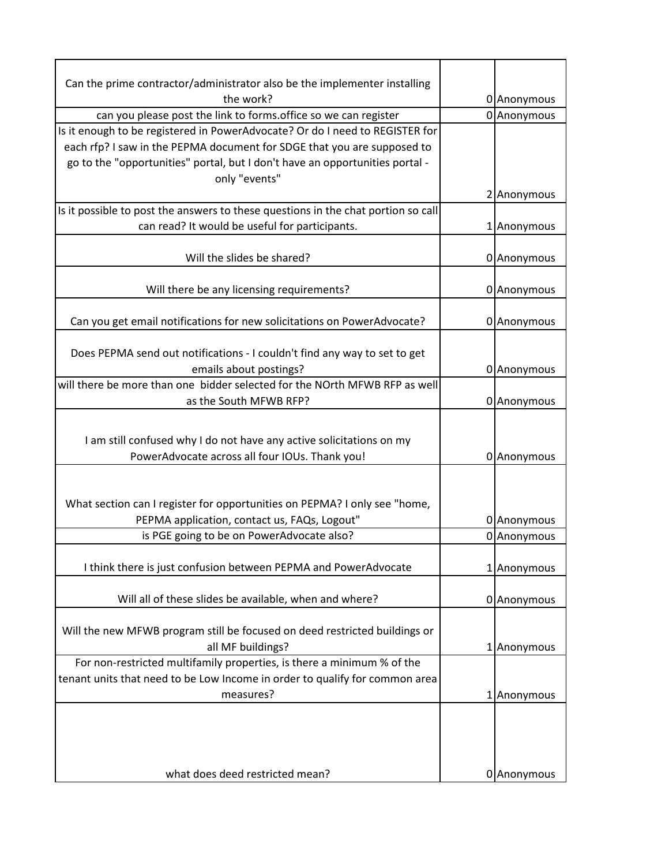| Can the prime contractor/administrator also be the implementer installing                                                 |             |
|---------------------------------------------------------------------------------------------------------------------------|-------------|
| the work?                                                                                                                 | 0 Anonymous |
| can you please post the link to forms. office so we can register                                                          | 0 Anonymous |
| Is it enough to be registered in PowerAdvocate? Or do I need to REGISTER for                                              |             |
| each rfp? I saw in the PEPMA document for SDGE that you are supposed to                                                   |             |
| go to the "opportunities" portal, but I don't have an opportunities portal -                                              |             |
| only "events"                                                                                                             |             |
|                                                                                                                           | 2 Anonymous |
| Is it possible to post the answers to these questions in the chat portion so call                                         |             |
| can read? It would be useful for participants.                                                                            | 1 Anonymous |
|                                                                                                                           |             |
| Will the slides be shared?                                                                                                | 0 Anonymous |
|                                                                                                                           |             |
| Will there be any licensing requirements?                                                                                 | 0 Anonymous |
|                                                                                                                           |             |
| Can you get email notifications for new solicitations on PowerAdvocate?                                                   | 0 Anonymous |
|                                                                                                                           |             |
| Does PEPMA send out notifications - I couldn't find any way to set to get                                                 |             |
| emails about postings?                                                                                                    | 0 Anonymous |
| will there be more than one bidder selected for the NOrth MFWB RFP as well                                                |             |
| as the South MFWB RFP?                                                                                                    | 0 Anonymous |
| I am still confused why I do not have any active solicitations on my<br>PowerAdvocate across all four IOUs. Thank you!    | 0 Anonymous |
| What section can I register for opportunities on PEPMA? I only see "home,<br>PEPMA application, contact us, FAQs, Logout" | 0 Anonymous |
| is PGE going to be on PowerAdvocate also?                                                                                 | 0 Anonymous |
|                                                                                                                           |             |
| I think there is just confusion between PEPMA and PowerAdvocate                                                           | 1 Anonymous |
| Will all of these slides be available, when and where?                                                                    | 0 Anonymous |
| Will the new MFWB program still be focused on deed restricted buildings or<br>all MF buildings?                           | 1 Anonymous |
| For non-restricted multifamily properties, is there a minimum % of the                                                    |             |
| tenant units that need to be Low Income in order to qualify for common area                                               |             |
| measures?                                                                                                                 | 1 Anonymous |
| what does deed restricted mean?                                                                                           | 0 Anonymous |
|                                                                                                                           |             |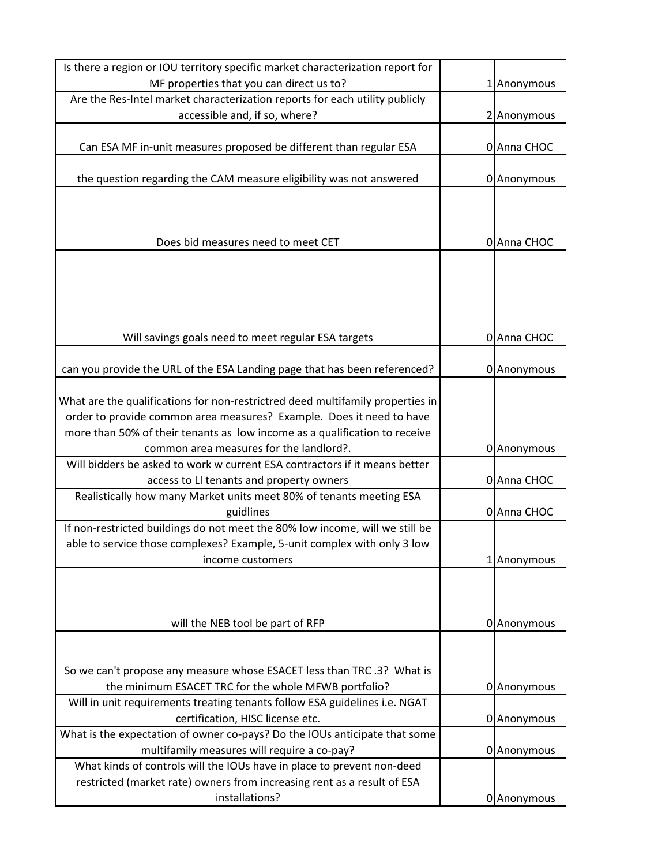| Is there a region or IOU territory specific market characterization report for   |             |
|----------------------------------------------------------------------------------|-------------|
| MF properties that you can direct us to?                                         | 1 Anonymous |
| Are the Res-Intel market characterization reports for each utility publicly      |             |
| accessible and, if so, where?                                                    | 2 Anonymous |
|                                                                                  |             |
| Can ESA MF in-unit measures proposed be different than regular ESA               | 0 Anna CHOC |
|                                                                                  |             |
| the question regarding the CAM measure eligibility was not answered              | 0 Anonymous |
|                                                                                  |             |
|                                                                                  |             |
| Does bid measures need to meet CET                                               | 0 Anna CHOC |
|                                                                                  |             |
|                                                                                  |             |
|                                                                                  |             |
|                                                                                  |             |
|                                                                                  |             |
| Will savings goals need to meet regular ESA targets                              | 0 Anna CHOC |
|                                                                                  |             |
| can you provide the URL of the ESA Landing page that has been referenced?        | 0 Anonymous |
|                                                                                  |             |
| What are the qualifications for non-restrictred deed multifamily properties in   |             |
| order to provide common area measures? Example. Does it need to have             |             |
| more than 50% of their tenants as low income as a qualification to receive       |             |
| common area measures for the landlord?.                                          | 0 Anonymous |
| Will bidders be asked to work w current ESA contractors if it means better       |             |
| access to LI tenants and property owners                                         | 0 Anna CHOC |
| Realistically how many Market units meet 80% of tenants meeting ESA<br>guidlines |             |
| If non-restricted buildings do not meet the 80% low income, will we still be     | 0 Anna CHOC |
| able to service those complexes? Example, 5-unit complex with only 3 low         |             |
| income customers                                                                 | 1 Anonymous |
|                                                                                  |             |
|                                                                                  |             |
|                                                                                  |             |
| will the NEB tool be part of RFP                                                 | 0 Anonymous |
|                                                                                  |             |
|                                                                                  |             |
| So we can't propose any measure whose ESACET less than TRC .3? What is           |             |
| the minimum ESACET TRC for the whole MFWB portfolio?                             | 0 Anonymous |
| Will in unit requirements treating tenants follow ESA guidelines i.e. NGAT       |             |
| certification, HISC license etc.                                                 | 0 Anonymous |
| What is the expectation of owner co-pays? Do the IOUs anticipate that some       |             |
| multifamily measures will require a co-pay?                                      | 0 Anonymous |
| What kinds of controls will the IOUs have in place to prevent non-deed           |             |
| restricted (market rate) owners from increasing rent as a result of ESA          |             |
| installations?                                                                   | 0 Anonymous |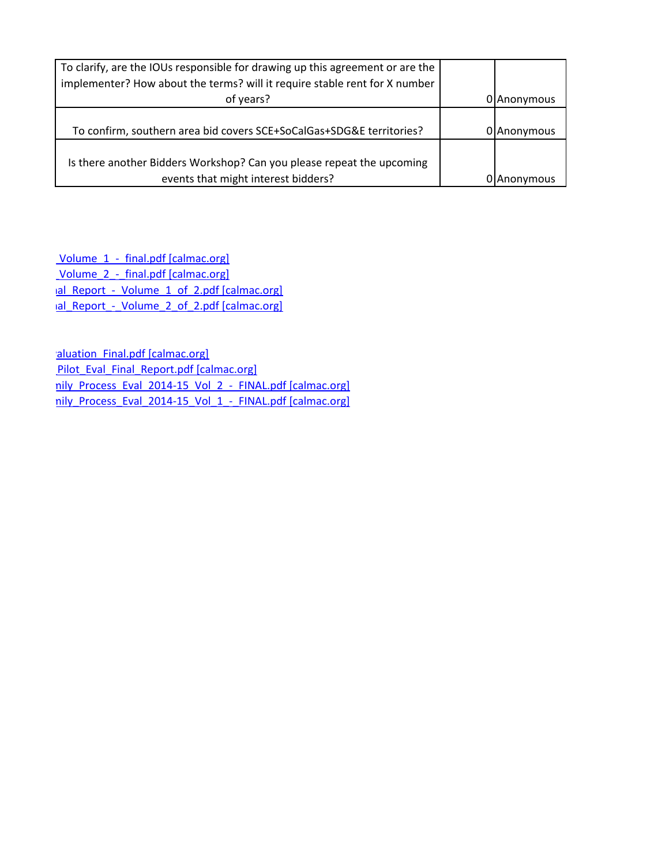| To clarify, are the IOUs responsible for drawing up this agreement or are the |             |
|-------------------------------------------------------------------------------|-------------|
| implementer? How about the terms? will it require stable rent for X number    |             |
| of years?                                                                     | 0 Anonymous |
|                                                                               |             |
| To confirm, southern area bid covers SCE+SoCalGas+SDG&E territories?          | 0 Anonymous |
|                                                                               |             |
| Is there another Bidders Workshop? Can you please repeat the upcoming         |             |
| events that might interest bidders?                                           | 0 Anonymous |

Volume 1 - final.pdf [calmac.org] Volume 2 - final.pdf [calmac.org] http://www.calmac.org/publications/2016\_1016\_2.pdf [calmac.org] http://www.cal\_Report\_-\_Volume\_2\_of\_2.pdf [calmac.org]

aluation\_Final.pdf [calmac.org] Pilot Eval Final Report.pdf [calmac.org] http://www.callmac.org/publications/Society-Final.pdf [calmac.org] http://www.calmac.org/publications/Society-Final.pdf [calmac.org]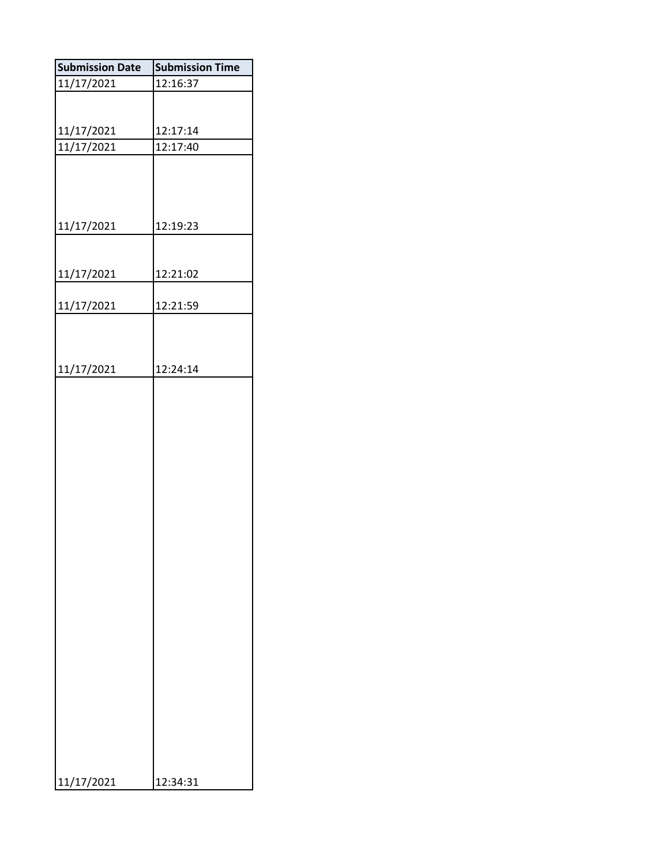| <b>Submission Date</b> | <b>Submission Time</b> |
|------------------------|------------------------|
| 11/17/2021             | 12:16:37               |
|                        |                        |
| 11/17/2021             | 12:17:14               |
| 11/17/2021             | 12:17:40               |
|                        |                        |
| 11/17/2021             | 12:19:23               |
| 11/17/2021             | 12:21:02               |
|                        |                        |
| 11/17/2021             | 12:21:59               |
|                        |                        |
| 11/17/2021             | 12:24:14               |
|                        |                        |
| 11/17/2021             | 12:34:31               |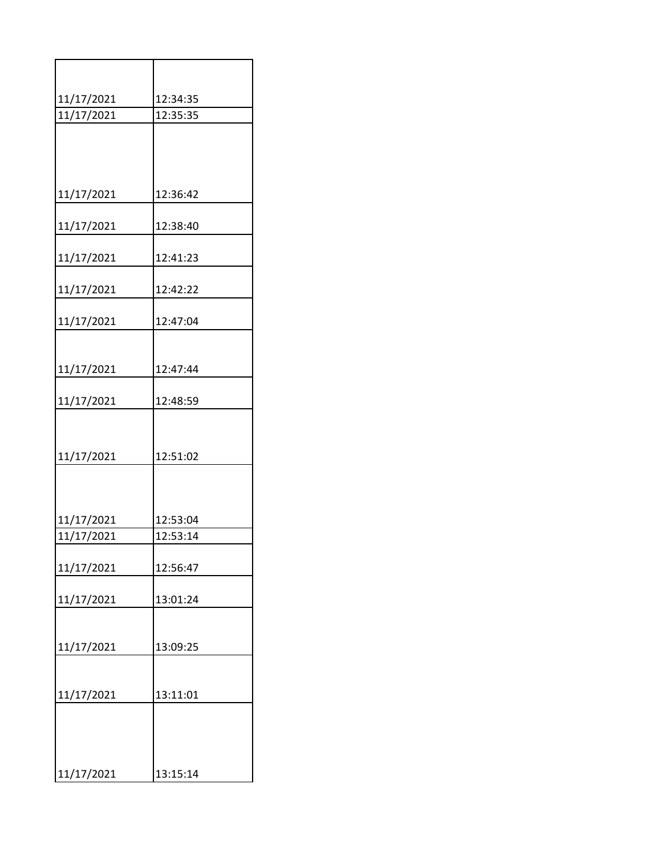| 11/17/2021 | 12:34:35 |
|------------|----------|
| 11/17/2021 | 12:35:35 |
|            |          |
|            |          |
| 11/17/2021 | 12:36:42 |
| 11/17/2021 | 12:38:40 |
| 11/17/2021 | 12:41:23 |
| 11/17/2021 | 12:42:22 |
| 11/17/2021 | 12:47:04 |
|            |          |
| 11/17/2021 | 12:47:44 |
| 11/17/2021 | 12:48:59 |
|            |          |
| 11/17/2021 | 12:51:02 |
|            |          |
| 11/17/2021 | 12:53:04 |
| 11/17/2021 | 12:53:14 |
| 11/17/2021 | 12:56:47 |
| 11/17/2021 | 13:01:24 |
|            |          |
| 11/17/2021 | 13:09:25 |
|            |          |
| 11/17/2021 | 13:11:01 |
|            |          |
| 11/17/2021 | 13:15:14 |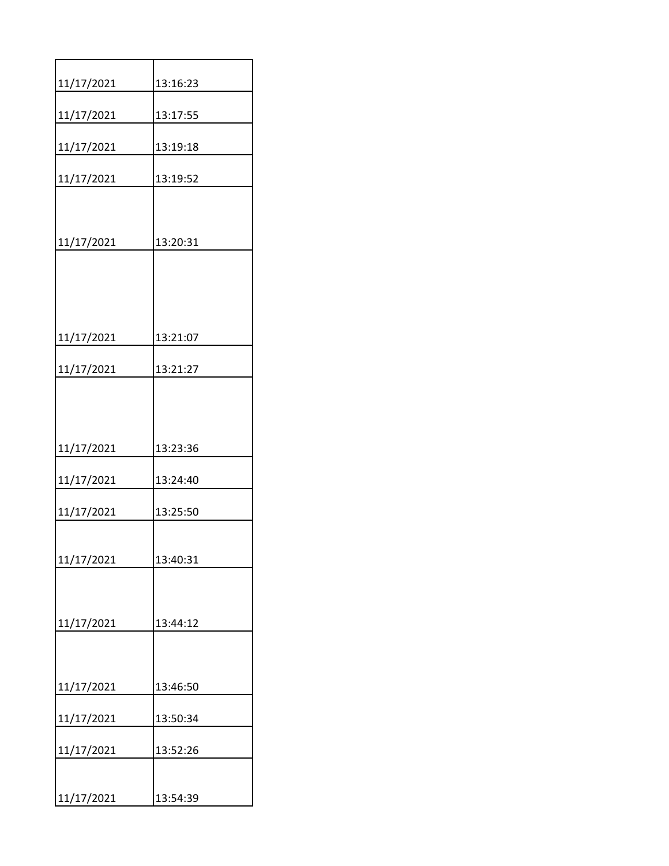| 11/17/2021 | 13:16:23 |
|------------|----------|
| 11/17/2021 | 13:17:55 |
| 11/17/2021 | 13:19:18 |
| 11/17/2021 | 13:19:52 |
|            |          |
| 11/17/2021 | 13:20:31 |
|            |          |
|            |          |
| 11/17/2021 | 13:21:07 |
| 11/17/2021 | 13:21:27 |
|            |          |
|            |          |
| 11/17/2021 | 13:23:36 |
| 11/17/2021 | 13:24:40 |
| 11/17/2021 | 13:25:50 |
|            |          |
| 11/17/2021 | 13:40:31 |
|            |          |
| 11/17/2021 | 13:44:12 |
|            |          |
| 11/17/2021 | 13:46:50 |
| 11/17/2021 | 13:50:34 |
| 11/17/2021 | 13:52:26 |
|            |          |
| 11/17/2021 | 13:54:39 |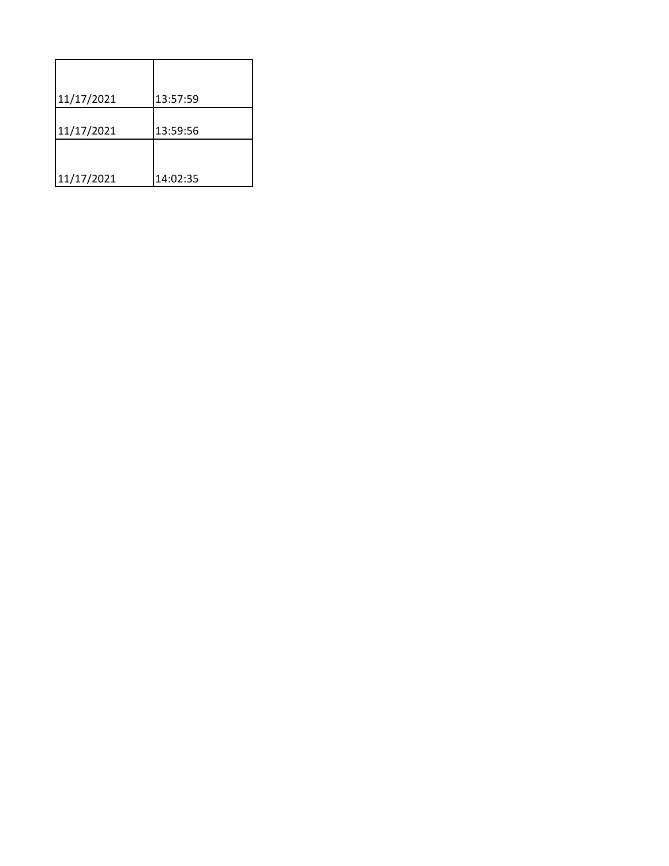| 11/17/2021 | 13:57:59 |
|------------|----------|
| 11/17/2021 | 13:59:56 |
|            |          |
| 11/17/2021 | 14:02:35 |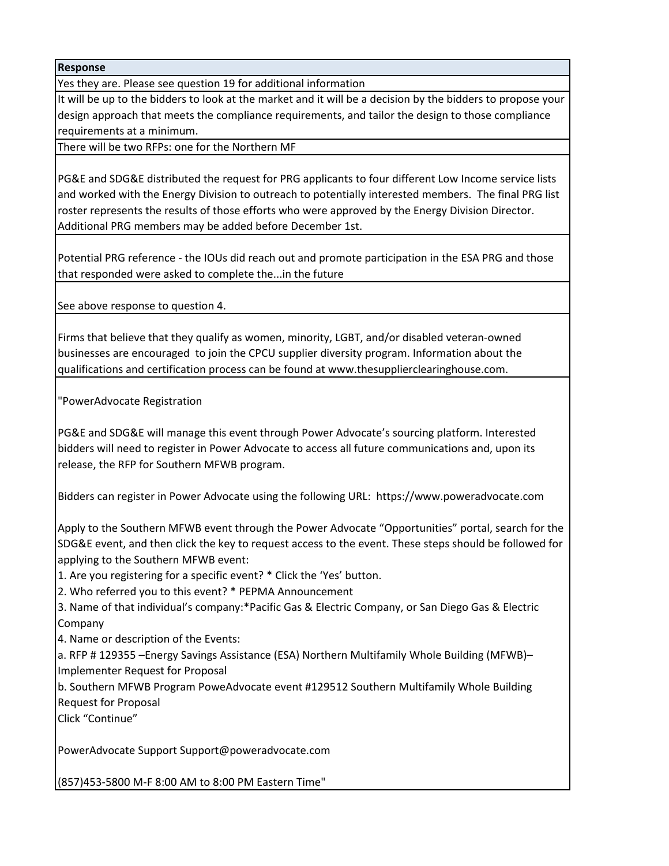**Response**

Yes they are. Please see question 19 for additional information

It will be up to the bidders to look at the market and it will be a decision by the bidders to propose your design approach that meets the compliance requirements, and tailor the design to those compliance requirements at a minimum.

There will be two RFPs: one for the Northern MF

PG&E and SDG&E distributed the request for PRG applicants to four different Low Income service lists and worked with the Energy Division to outreach to potentially interested members. The final PRG list roster represents the results of those efforts who were approved by the Energy Division Director. Additional PRG members may be added before December 1st.

Potential PRG reference - the IOUs did reach out and promote participation in the ESA PRG and those that responded were asked to complete the...in the future

See above response to question 4.

Firms that believe that they qualify as women, minority, LGBT, and/or disabled veteran-owned businesses are encouraged to join the CPCU supplier diversity program. Information about the qualifications and certification process can be found at www.thesupplierclearinghouse.com.

"PowerAdvocate Registration

PG&E and SDG&E will manage this event through Power Advocate's sourcing platform. Interested bidders will need to register in Power Advocate to access all future communications and, upon its release, the RFP for Southern MFWB program.

Bidders can register in Power Advocate using the following URL: https://www.poweradvocate.com

Apply to the Southern MFWB event through the Power Advocate "Opportunities" portal, search for the SDG&E event, and then click the key to request access to the event. These steps should be followed for applying to the Southern MFWB event:

1. Are you registering for a specific event? \* Click the 'Yes' button.

2. Who referred you to this event? \* PEPMA Announcement

3. Name of that individual's company:\*Pacific Gas & Electric Company, or San Diego Gas & Electric Company

4. Name or description of the Events:

a. RFP # 129355 –Energy Savings Assistance (ESA) Northern Multifamily Whole Building (MFWB)– Implementer Request for Proposal

b. Southern MFWB Program PoweAdvocate event #129512 Southern Multifamily Whole Building Request for Proposal

Click "Continue"

PowerAdvocate Support Support@poweradvocate.com

(857)453-5800 M-F 8:00 AM to 8:00 PM Eastern Time"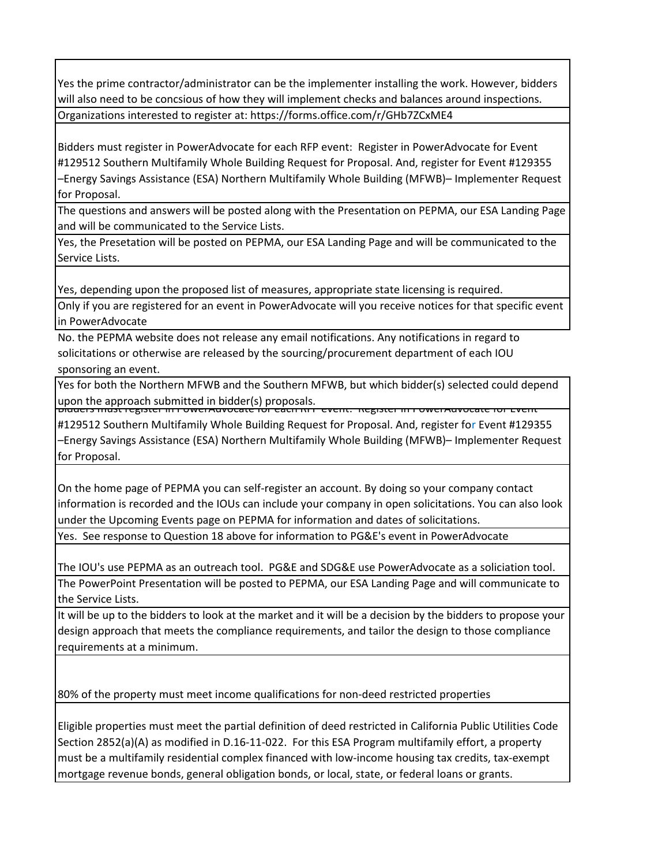Yes the prime contractor/administrator can be the implementer installing the work. However, bidders will also need to be concsious of how they will implement checks and balances around inspections. Organizations interested to register at: https://forms.office.com/r/GHb7ZCxME4

Bidders must register in PowerAdvocate for each RFP event: Register in PowerAdvocate for Event #129512 Southern Multifamily Whole Building Request for Proposal. And, register for Event #129355 –Energy Savings Assistance (ESA) Northern Multifamily Whole Building (MFWB)– Implementer Request for Proposal.

The questions and answers will be posted along with the Presentation on PEPMA, our ESA Landing Page and will be communicated to the Service Lists.

Yes, the Presetation will be posted on PEPMA, our ESA Landing Page and will be communicated to the Service Lists.

Yes, depending upon the proposed list of measures, appropriate state licensing is required.

Only if you are registered for an event in PowerAdvocate will you receive notices for that specific event in PowerAdvocate

No. the PEPMA website does not release any email notifications. Any notifications in regard to solicitations or otherwise are released by the sourcing/procurement department of each IOU sponsoring an event.

Yes for both the Northern MFWB and the Southern MFWB, but which bidder(s) selected could depend upon the approach submitted in bidder(s) proposals.

#129512 Southern Multifamily Whole Building Request for Proposal. And, register for Event #129355 –Energy Savings Assistance (ESA) Northern Multifamily Whole Building (MFWB)– Implementer Request for Proposal.

On the home page of PEPMA you can self-register an account. By doing so your company contact information is recorded and the IOUs can include your company in open solicitations. You can also look under the Upcoming Events page on PEPMA for information and dates of solicitations.

Yes. See response to Question 18 above for information to PG&E's event in PowerAdvocate

The IOU's use PEPMA as an outreach tool. PG&E and SDG&E use PowerAdvocate as a soliciation tool. The PowerPoint Presentation will be posted to PEPMA, our ESA Landing Page and will communicate to the Service Lists.

It will be up to the bidders to look at the market and it will be a decision by the bidders to propose your design approach that meets the compliance requirements, and tailor the design to those compliance requirements at a minimum.

80% of the property must meet income qualifications for non-deed restricted properties

Eligible properties must meet the partial definition of deed restricted in California Public Utilities Code Section 2852(a)(A) as modified in D.16-11-022. For this ESA Program multifamily effort, a property must be a multifamily residential complex financed with low-income housing tax credits, tax-exempt mortgage revenue bonds, general obligation bonds, or local, state, or federal loans or grants.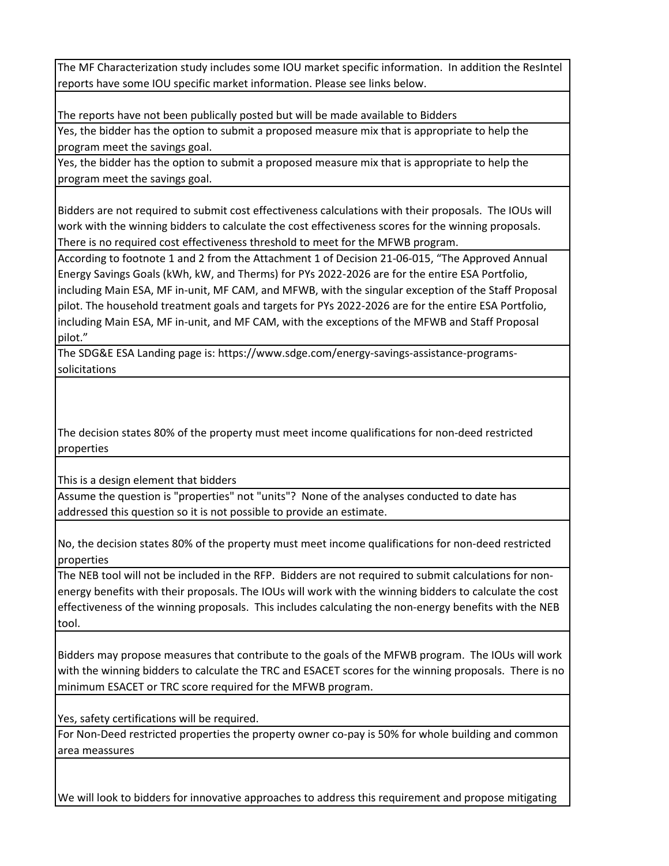The MF Characterization study includes some IOU market specific information. In addition the ResIntel reports have some IOU specific market information. Please see links below.

The reports have not been publically posted but will be made available to Bidders

Yes, the bidder has the option to submit a proposed measure mix that is appropriate to help the program meet the savings goal.

Yes, the bidder has the option to submit a proposed measure mix that is appropriate to help the program meet the savings goal.

Bidders are not required to submit cost effectiveness calculations with their proposals. The IOUs will work with the winning bidders to calculate the cost effectiveness scores for the winning proposals. There is no required cost effectiveness threshold to meet for the MFWB program.

According to footnote 1 and 2 from the Attachment 1 of Decision 21-06-015, "The Approved Annual Energy Savings Goals (kWh, kW, and Therms) for PYs 2022-2026 are for the entire ESA Portfolio, including Main ESA, MF in-unit, MF CAM, and MFWB, with the singular exception of the Staff Proposal pilot. The household treatment goals and targets for PYs 2022-2026 are for the entire ESA Portfolio, including Main ESA, MF in-unit, and MF CAM, with the exceptions of the MFWB and Staff Proposal pilot."

The SDG&E ESA Landing page is: https://www.sdge.com/energy-savings-assistance-programssolicitations

The decision states 80% of the property must meet income qualifications for non-deed restricted properties

This is a design element that bidders

Assume the question is "properties" not "units"? None of the analyses conducted to date has addressed this question so it is not possible to provide an estimate.

No, the decision states 80% of the property must meet income qualifications for non-deed restricted properties

The NEB tool will not be included in the RFP. Bidders are not required to submit calculations for nonenergy benefits with their proposals. The IOUs will work with the winning bidders to calculate the cost effectiveness of the winning proposals. This includes calculating the non-energy benefits with the NEB tool.

Bidders may propose measures that contribute to the goals of the MFWB program. The IOUs will work with the winning bidders to calculate the TRC and ESACET scores for the winning proposals. There is no minimum ESACET or TRC score required for the MFWB program.

Yes, safety certifications will be required.

For Non-Deed restricted properties the property owner co-pay is 50% for whole building and common area meassures

We will look to bidders for innovative approaches to address this requirement and propose mitigating